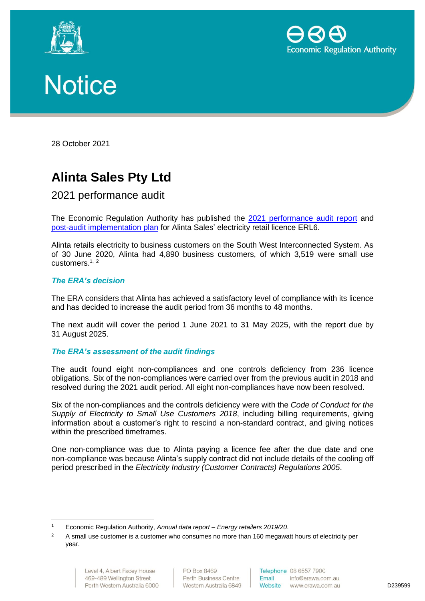





28 October 2021

# **Alinta Sales Pty Ltd**

## 2021 performance audit

The Economic Regulation Authority has published the [2021 performance audit report](http://www.erawa.com.au/cproot/22224/2/Attachment-1---Audit-report-redacted---ERL006---Alinta-Sales.PDF) and [post-audit implementation plan](http://www.erawa.com.au/cproot/22225/2/Attachment-2---Post-audit-implementation-plan---ERL006---Alinta-Sales.PDF) for Alinta Sales' electricity retail licence ERL6.

Alinta retails electricity to business customers on the South West Interconnected System. As of 30 June 2020, Alinta had 4,890 business customers, of which 3,519 were small use customers.<sup>1, 2</sup>

#### *The ERA's decision*

The ERA considers that Alinta has achieved a satisfactory level of compliance with its licence and has decided to increase the audit period from 36 months to 48 months.

The next audit will cover the period 1 June 2021 to 31 May 2025, with the report due by 31 August 2025.

#### *The ERA's assessment of the audit findings*

The audit found eight non-compliances and one controls deficiency from 236 licence obligations. Six of the non-compliances were carried over from the previous audit in 2018 and resolved during the 2021 audit period. All eight non-compliances have now been resolved.

Six of the non-compliances and the controls deficiency were with the *Code of Conduct for the Supply of Electricity to Small Use Customers 2018*, including billing requirements, giving information about a customer's right to rescind a non-standard contract, and giving notices within the prescribed timeframes.

One non-compliance was due to Alinta paying a licence fee after the due date and one non-compliance was because Alinta's supply contract did not include details of the cooling off period prescribed in the *Electricity Industry (Customer Contracts) Regulations 2005*.

<sup>1</sup> Economic Regulation Authority, *Annual data report – Energy retailers 2019/20*.

<sup>&</sup>lt;sup>2</sup> A small use customer is a customer who consumes no more than 160 megawatt hours of electricity per year.